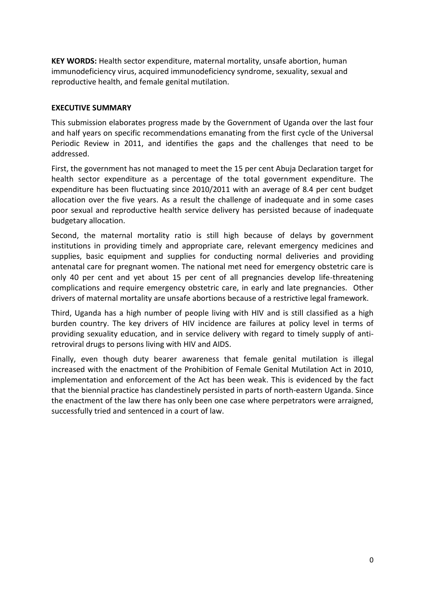**KEY WORDS:** Health sector expenditure, maternal mortality, unsafe abortion, human immunodeficiency virus, [acquired immunodeficiency syndrome,](https://en.wikipedia.org/wiki/AIDS) sexuality, sexual and reproductive health, and female genital mutilation.

#### **EXECUTIVE SUMMARY**

This submission elaborates progress made by the Government of Uganda over the last four and half years on specific recommendations emanating from the first cycle of the Universal Periodic Review in 2011, and identifies the gaps and the challenges that need to be addressed.

First, the government has not managed to meet the 15 per cent Abuja Declaration target for health sector expenditure as a percentage of the total government expenditure. The expenditure has been fluctuating since 2010/2011 with an average of 8.4 per cent budget allocation over the five years. As a result the challenge of inadequate and in some cases poor sexual and reproductive health service delivery has persisted because of inadequate budgetary allocation.

Second, the maternal mortality ratio is still high because of delays by government institutions in providing timely and appropriate care, relevant emergency medicines and supplies, basic equipment and supplies for conducting normal deliveries and providing antenatal care for pregnant women. The national met need for emergency obstetric care is only 40 per cent and yet about 15 per cent of all pregnancies develop life-threatening complications and require emergency obstetric care, in early and late pregnancies. Other drivers of maternal mortality are unsafe abortions because of a restrictive legal framework.

Third, Uganda has a high number of people living with HIV and is still classified as a high burden country. The key drivers of HIV incidence are failures at policy level in terms of providing sexuality education, and in service delivery with regard to timely supply of antiretroviral drugs to persons living with HIV and AIDS.

Finally, even though duty bearer awareness that female genital mutilation is illegal increased with the enactment of the Prohibition of Female Genital Mutilation Act in 2010, implementation and enforcement of the Act has been weak. This is evidenced by the fact that the biennial practice has clandestinely persisted in parts of north-eastern Uganda. Since the enactment of the law there has only been one case where perpetrators were arraigned, successfully tried and sentenced in a court of law.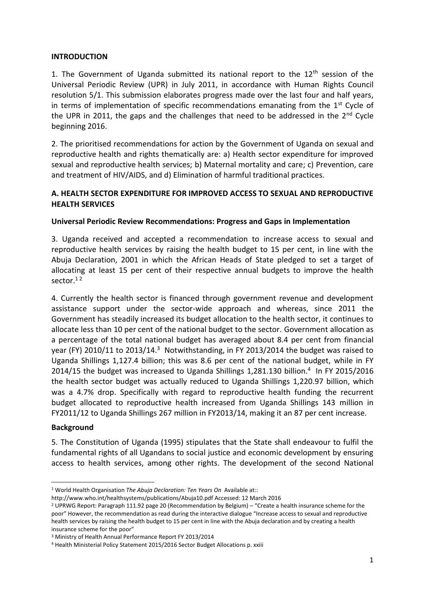## **INTRODUCTION**

1. The Government of Uganda submitted its national report to the  $12<sup>th</sup>$  session of the Universal Periodic Review (UPR) in July 2011, in accordance with Human Rights Council resolution 5/1. This submission elaborates progress made over the last four and half years, in terms of implementation of specific recommendations emanating from the  $1<sup>st</sup>$  Cycle of the UPR in 2011, the gaps and the challenges that need to be addressed in the  $2<sup>nd</sup>$  Cycle beginning 2016.

2. The prioritised recommendations for action by the Government of Uganda on sexual and reproductive health and rights thematically are: a) Health sector expenditure for improved sexual and reproductive health services; b) Maternal mortality and care; c) Prevention, care and treatment of HIV/AIDS, and d) Elimination of harmful traditional practices.

## **A. HEALTH SECTOR EXPENDITURE FOR IMPROVED ACCESS TO SEXUAL AND REPRODUCTIVE HEALTH SERVICES**

# Universal Periodic Review Recommendations: Progress and Gaps in Implementation

3. Uganda received and accepted a recommendation to increase access to sexual and reproductive health services by raising the health budget to 15 per cent, in line with the Abuja Declaration, 2001 in which the African Heads of State pledged to set a target of allocating at least 15 per cent of their respective annual budgets to improve the health sector.<sup>12</sup>

4. Currently the health sector is financed through government revenue and development assistance support under the sector-wide approach and whereas, since 2011 the Government has steadily increased its budget allocation to the health sector, it continues to allocate less than 10 per cent of the national budget to the sector. Government allocation as a percentage of the total national budget has averaged about 8.4 per cent from financial year (FY) 2010/11 to 2013/14.<sup>3</sup> Notwithstanding, in FY 2013/2014 the budget was raised to Uganda Shillings 1,127.4 billion; this was 8.6 per cent of the national budget, while in FY 2014/15 the budget was increased to Uganda Shillings 1,281.130 billion.<sup>4</sup> In FY 2015/2016 the health sector budget was actually reduced to Uganda Shillings 1,220.97 billion, which was a 4.7% drop. Specifically with regard to reproductive health funding the recurrent budget allocated to reproductive health increased from Uganda Shillings 143 million in FY2011/12 to Uganda Shillings 267 million in FY2013/14, making it an 87 per cent increase.

#### **Background**

**.** 

5. The Constitution of Uganda (1995) stipulates that the State shall endeavour to fulfil the fundamental rights of all Ugandans to social justice and economic development by ensuring access to health services, among other rights. The development of the second National

<sup>1</sup> World Health Organisation *The Abuja Declaration: Ten Years On* Available at::

<http://www.who.int/healthsystems/publications/Abuja10.pdf> Accessed: 12 March 2016

<sup>2</sup> UPRWG Report: Paragraph 111.92 page 20 (Recommendation by Belgium) – "Create a health insurance scheme for the poor" However, the recommendation as read during the interactive dialogue "Increase access to sexual and reproductive health services by raising the health budget to 15 per cent in line with the Abuja declaration and by creating a health insurance scheme for the poor"

<sup>3</sup> Ministry of Health Annual Performance Report FY 2013/2014

<sup>4</sup> Health Ministerial Policy Statement 2015/2016 Sector Budget Allocations p. xxiii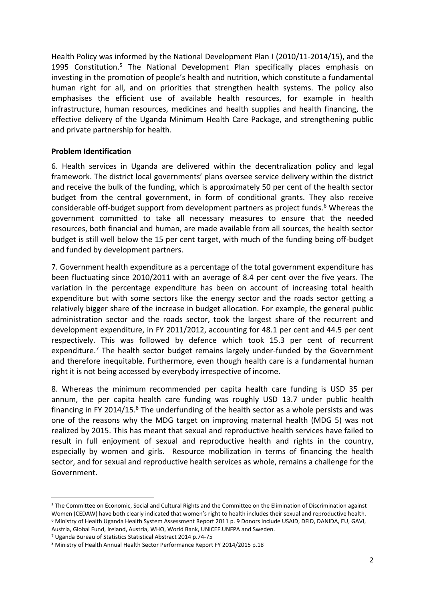Health Policy was informed by the National Development Plan I (2010/11-2014/15), and the 1995 Constitution.<sup>5</sup> The National Development Plan specifically places emphasis on investing in the promotion of people's health and nutrition, which constitute a fundamental human right for all, and on priorities that strengthen health systems. The policy also emphasises the efficient use of available health resources, for example in health infrastructure, human resources, medicines and health supplies and health financing, the effective delivery of the Uganda Minimum Health Care Package, and strengthening public and private partnership for health.

## **Problem Identification**

6. Health services in Uganda are delivered within the decentralization policy and legal framework. The district local governments' plans oversee service delivery within the district and receive the bulk of the funding, which is approximately 50 per cent of the health sector budget from the central government, in form of conditional grants. They also receive considerable off-budget support from development partners as project funds.<sup>6</sup> Whereas the government committed to take all necessary measures to ensure that the needed resources, both financial and human, are made available from all sources, the health sector budget is still well below the 15 per cent target, with much of the funding being off-budget and funded by development partners.

7. Government health expenditure as a percentage of the total government expenditure has been fluctuating since 2010/2011 with an average of 8.4 per cent over the five years. The variation in the percentage expenditure has been on account of increasing total health expenditure but with some sectors like the energy sector and the roads sector getting a relatively bigger share of the increase in budget allocation. For example, the general public administration sector and the roads sector, took the largest share of the recurrent and development expenditure, in FY 2011/2012, accounting for 48.1 per cent and 44.5 per cent respectively. This was followed by defence which took 15.3 per cent of recurrent expenditure.<sup>7</sup> The health sector budget remains largely under-funded by the Government and therefore inequitable. Furthermore, even though health care is a fundamental human right it is not being accessed by everybody irrespective of income.

8. Whereas the minimum recommended per capita health care funding is USD 35 per annum, the per capita health care funding was roughly USD 13.7 under public health financing in FY 2014/15. $8$  The underfunding of the health sector as a whole persists and was one of the reasons why the MDG target on improving maternal health (MDG 5) was not realized by 2015. This has meant that sexual and reproductive health services have failed to result in full enjoyment of sexual and reproductive health and rights in the country, especially by women and girls. Resource mobilization in terms of financing the health sector, and for sexual and reproductive health services as whole, remains a challenge for the Government.

<sup>5</sup> The Committee on Economic, Social and Cultural Rights and the Committee on the Elimination of Discrimination against Women (CEDAW) have both clearly indicated that women's right to health includes their sexual and reproductive health. <sup>6</sup> Ministry of Health Uganda Health System Assessment Report 2011 p. 9 Donors include USAID, DFID, DANIDA, EU, GAVI, Austria, Global Fund, Ireland, Austria, WHO, World Bank, UNICEF.UNFPA and Sweden.

<sup>7</sup> Uganda Bureau of Statistics Statistical Abstract 2014 p.74-75

<sup>8</sup> Ministry of Health Annual Health Sector Performance Report FY 2014/2015 p.18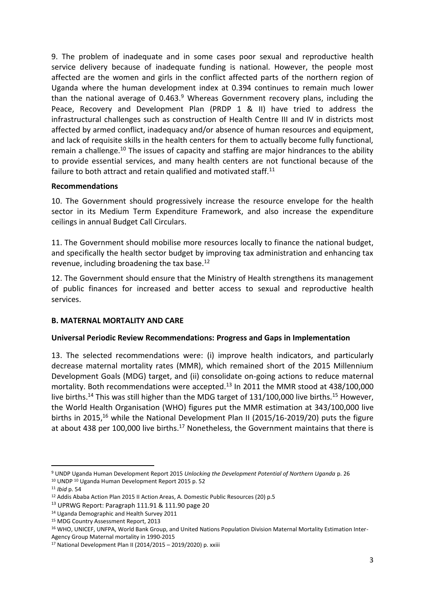9. The problem of inadequate and in some cases poor sexual and reproductive health service delivery because of inadequate funding is national. However, the people most affected are the women and girls in the conflict affected parts of the northern region of Uganda where the human development index at 0.394 continues to remain much lower than the national average of  $0.463<sup>9</sup>$  Whereas Government recovery plans, including the Peace, Recovery and Development Plan (PRDP 1 & II) have tried to address the infrastructural challenges such as construction of Health Centre III and IV in districts most affected by armed conflict, inadequacy and/or absence of human resources and equipment, and lack of requisite skills in the health centers for them to actually become fully functional, remain a challenge.<sup>10</sup> The issues of capacity and staffing are major hindrances to the ability to provide essential services, and many health centers are not functional because of the failure to both attract and retain qualified and motivated staff.<sup>11</sup>

## **Recommendations**

10. The Government should progressively increase the resource envelope for the health sector in its Medium Term Expenditure Framework, and also increase the expenditure ceilings in annual Budget Call Circulars.

11. The Government should mobilise more resources locally to finance the national budget, and specifically the health sector budget by improving tax administration and enhancing tax revenue, including broadening the tax base.<sup>12</sup>

12. The Government should ensure that the Ministry of Health strengthens its management of public finances for increased and better access to sexual and reproductive health services.

# **B. MATERNAL MORTALITY AND CARE**

#### **Universal Periodic Review Recommendations: Progress and Gaps in Implementation**

13. The selected recommendations were: (i) improve health indicators, and particularly decrease maternal mortality rates (MMR), which remained short of the 2015 Millennium Development Goals (MDG) target, and (ii) consolidate on-going actions to reduce maternal mortality. Both recommendations were accepted.<sup>13</sup> In 2011 the MMR stood at 438/100,000 live births.<sup>14</sup> This was still higher than the MDG target of 131/100,000 live births.<sup>15</sup> However, the World Health Organisation (WHO) figures put the MMR estimation at 343/100,000 live births in 2015,<sup>16</sup> while the National Development Plan II (2015/16-2019/20) puts the figure at about 438 per 100,000 live births.<sup>17</sup> Nonetheless, the Government maintains that there is

<sup>9</sup> UNDP Uganda Human Development Report 2015 *Unlocking the Development Potential of Northern Uganda* p. 26

<sup>10</sup> UNDP <sup>10</sup> Uganda Human Development Report 2015 p. 52

<sup>11</sup> *Ibid* p. 54

<sup>12</sup> Addis Ababa Action Plan 2015 II Action Areas, A. Domestic Public Resources (20) p.5

<sup>13</sup> UPRWG Report: Paragraph 111.91 & 111.90 page 20

<sup>14</sup> Uganda Demographic and Health Survey 2011

<sup>15</sup> MDG Country Assessment Report, 2013

<sup>&</sup>lt;sup>16</sup> WHO, UNICEF, UNFPA, World Bank Group, and United Nations Population Division Maternal Mortality Estimation Inter-Agency Group Maternal mortality in 1990-2015

<sup>17</sup> National Development Plan II (2014/2015 – 2019/2020) p. xxiii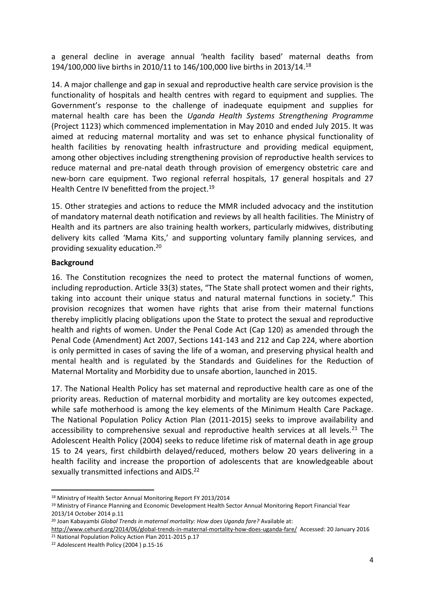a general decline in average annual 'health facility based' maternal deaths from 194/100,000 live births in 2010/11 to 146/100,000 live births in 2013/14.<sup>18</sup>

14. A major challenge and gap in sexual and reproductive health care service provision is the functionality of hospitals and health centres with regard to equipment and supplies. The Government's response to the challenge of inadequate equipment and supplies for maternal health care has been the *Uganda Health Systems Strengthening Programme*  (Project 1123) which commenced implementation in May 2010 and ended July 2015. It was aimed at reducing maternal mortality and was set to enhance physical functionality of health facilities by renovating health infrastructure and providing medical equipment, among other objectives including strengthening provision of reproductive health services to reduce maternal and pre-natal death through provision of emergency obstetric care and new-born care equipment. Two regional referral hospitals, 17 general hospitals and 27 Health Centre IV benefitted from the project.<sup>19</sup>

15. Other strategies and actions to reduce the MMR included advocacy and the institution of mandatory maternal death notification and reviews by all health facilities. The Ministry of Health and its partners are also training health workers, particularly midwives, distributing delivery kits called 'Mama Kits,' and supporting voluntary family planning services, and providing sexuality education.<sup>20</sup>

# **Background**

16. The Constitution recognizes the need to protect the maternal functions of women, including reproduction. Article 33(3) states, "The State shall protect women and their rights, taking into account their unique status and natural maternal functions in society." This provision recognizes that women have rights that arise from their maternal functions thereby implicitly placing obligations upon the State to protect the sexual and reproductive health and rights of women. Under the Penal Code Act (Cap 120) as amended through the Penal Code (Amendment) Act 2007, Sections 141-143 and 212 and Cap 224, where abortion is only permitted in cases of saving the life of a woman, and preserving physical health and mental health and is regulated by the Standards and Guidelines for the Reduction of Maternal Mortality and Morbidity due to unsafe abortion, launched in 2015.

17. The National Health Policy has set maternal and reproductive health care as one of the priority areas. Reduction of maternal morbidity and mortality are key outcomes expected, while safe motherhood is among the key elements of the Minimum Health Care Package. The National Population Policy Action Plan (2011-2015) seeks to improve availability and accessibility to comprehensive sexual and reproductive health services at all levels.<sup>21</sup> The Adolescent Health Policy (2004) seeks to reduce lifetime risk of maternal death in age group 15 to 24 years, first childbirth delayed/reduced, mothers below 20 years delivering in a health facility and increase the proportion of adolescents that are knowledgeable about sexually transmitted infections and AIDS.<sup>22</sup>

<sup>1</sup> <sup>18</sup> Ministry of Health Sector Annual Monitoring Report FY 2013/2014

<sup>19</sup> Ministry of Finance Planning and Economic Development Health Sector Annual Monitoring Report Financial Year 2013/14 October 2014 p.11

<sup>20</sup> Joan Kabayambi *Global Trends in maternal mortality: How does Uganda fare?* Available at:

<http://www.cehurd.org/2014/06/global-trends-in-maternal-mortality-how-does-uganda-fare/>Accessed: 20 January 2016 <sup>21</sup> National Population Policy Action Plan 2011-2015 p.17

<sup>22</sup> Adolescent Health Policy (2004 ) p.15-16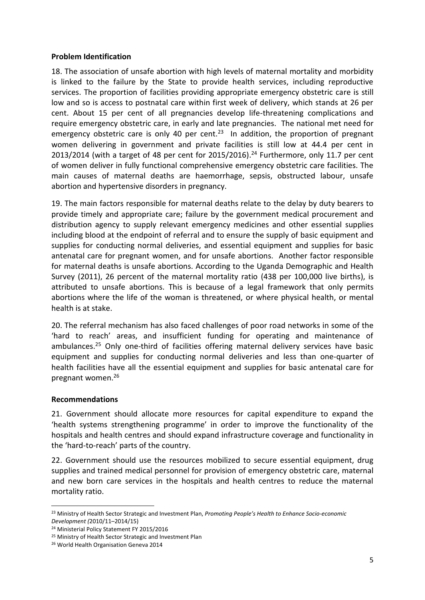#### **Problem Identification**

18. The association of unsafe abortion with high levels of maternal mortality and morbidity is linked to the failure by the State to provide health services, including reproductive services. The proportion of facilities providing appropriate emergency obstetric care is still low and so is access to postnatal care within first week of delivery, which stands at 26 per cent. About 15 per cent of all pregnancies develop life-threatening complications and require emergency obstetric care, in early and late pregnancies. The national met need for emergency obstetric care is only 40 per cent.<sup>23</sup> In addition, the proportion of pregnant women delivering in government and private facilities is still low at 44.4 per cent in 2013/2014 (with a target of 48 per cent for 2015/2016). <sup>24</sup> Furthermore, only 11.7 per cent of women deliver in fully functional comprehensive emergency obstetric care facilities. The main causes of maternal deaths are haemorrhage, sepsis, obstructed labour, unsafe abortion and hypertensive disorders in pregnancy.

19. The main factors responsible for maternal deaths relate to the delay by duty bearers to provide timely and appropriate care; failure by the government medical procurement and distribution agency to supply relevant emergency medicines and other essential supplies including blood at the endpoint of referral and to ensure the supply of basic equipment and supplies for conducting normal deliveries, and essential equipment and supplies for basic antenatal care for pregnant women, and for unsafe abortions. Another factor responsible for maternal deaths is unsafe abortions. According to the Uganda Demographic and Health Survey (2011), 26 percent of the maternal mortality ratio (438 per 100,000 live births), is attributed to unsafe abortions. This is because of a legal framework that only permits abortions where the life of the woman is threatened, or where physical health, or mental health is at stake.

20. The referral mechanism has also faced challenges of poor road networks in some of the 'hard to reach' areas, and insufficient funding for operating and maintenance of ambulances.<sup>25</sup> Only one-third of facilities offering maternal delivery services have basic equipment and supplies for conducting normal deliveries and less than one-quarter of health facilities have all the essential equipment and supplies for basic antenatal care for pregnant women. 26

# **Recommendations**

**.** 

21. Government should allocate more resources for capital expenditure to expand the 'health systems strengthening programme' in order to improve the functionality of the hospitals and health centres and should expand infrastructure coverage and functionality in the 'hard-to-reach' parts of the country.

22. Government should use the resources mobilized to secure essential equipment, drug supplies and trained medical personnel for provision of emergency obstetric care, maternal and new born care services in the hospitals and health centres to reduce the maternal mortality ratio.

<sup>23</sup> Ministry of Health Sector Strategic and Investment Plan, *Promoting People's Health to Enhance Socio-economic Development (*2010/11–2014/15)

<sup>24</sup> Ministerial Policy Statement FY 2015/2016

<sup>25</sup> Ministry of Health Sector Strategic and Investment Plan

<sup>26</sup> World Health Organisation Geneva 2014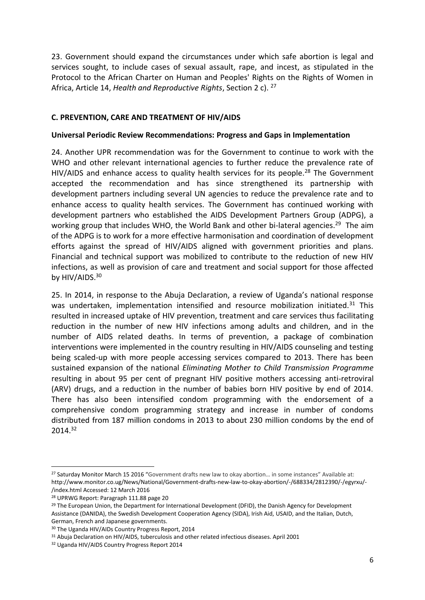23. Government should expand the circumstances under which safe abortion is legal and services sought, to include cases of sexual assault, rape, and incest, as stipulated in the Protocol to the African Charter on Human and Peoples' Rights on the Rights of Women in Africa, Article 14, *Health and Reproductive Rights*, Section 2 c). <sup>27</sup>

## **C. PREVENTION, CARE AND TREATMENT OF HIV/AIDS**

#### **Universal Periodic Review Recommendations: Progress and Gaps in Implementation**

24. Another UPR recommendation was for the Government to continue to work with the WHO and other relevant international agencies to further reduce the prevalence rate of HIV/AIDS and enhance access to quality health services for its people.<sup>28</sup> The Government accepted the recommendation and has since strengthened its partnership with development partners including several UN agencies to reduce the prevalence rate and to enhance access to quality health services. The Government has continued working with development partners who established the AIDS Development Partners Group (ADPG), a working group that includes WHO, the World Bank and other bi-lateral agencies.<sup>29</sup> The aim of the ADPG is to work for a more effective harmonisation and coordination of development efforts against the spread of HIV/AIDS aligned with government priorities and plans. Financial and technical support was mobilized to contribute to the reduction of new HIV infections, as well as provision of care and treatment and social support for those affected by HIV/AIDS.<sup>30</sup>

25. In 2014, in response to the Abuja Declaration, a review of Uganda's national response was undertaken, implementation intensified and resource mobilization initiated.<sup>31</sup> This resulted in increased uptake of HIV prevention, treatment and care services thus facilitating reduction in the number of new HIV infections among adults and children, and in the number of AIDS related deaths. In terms of prevention, a package of combination interventions were implemented in the country resulting in HIV/AIDS counseling and testing being scaled-up with more people accessing services compared to 2013. There has been sustained expansion of the national *Eliminating Mother to Child Transmission Programme* resulting in about 95 per cent of pregnant HIV positive mothers accessing anti-retroviral (ARV) drugs, and a reduction in the number of babies born HIV positive by end of 2014. There has also been intensified condom programming with the endorsement of a comprehensive condom programming strategy and increase in number of condoms distributed from 187 million condoms in 2013 to about 230 million condoms by the end of 2014.<sup>32</sup>

<sup>&</sup>lt;sup>27</sup> Saturday Monitor March 15 2016 "Government drafts new law to okay abortion... in some instances" Available at: [http://www.monitor.co.ug/News/National/Government-drafts-new-law-to-okay-abortion/-/688334/2812390/-/egyrxu/-](http://www.monitor.co.ug/News/National/Government-drafts-new-law-to-okay-abortion/-/688334/2812390/-/egyrxu/-/index.html) [/index.html](http://www.monitor.co.ug/News/National/Government-drafts-new-law-to-okay-abortion/-/688334/2812390/-/egyrxu/-/index.html) Accessed: 12 March 2016

<sup>28</sup> UPRWG Report: Paragraph 111.88 page 20

<sup>&</sup>lt;sup>29</sup> The European Union, the Department for International Development (DFID), the Danish Agency for Development Assistance (DANIDA), the Swedish Development Cooperation Agency (SIDA), Irish Aid, USAID, and the Italian, Dutch, German, French and Japanese governments.

<sup>30</sup> The Uganda HIV/AIDs Country Progress Report, 2014

<sup>31</sup> Abuja Declaration on HIV/AIDS, tuberculosis and other related infectious diseases. April 2001

<sup>32</sup> Uganda HIV/AIDS Country Progress Report 2014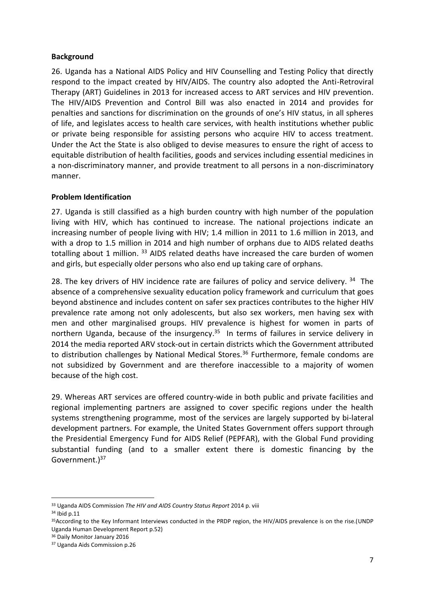## **Background**

26. Uganda has a National AIDS Policy and HIV Counselling and Testing Policy that directly respond to the impact created by HIV/AIDS. The country also adopted the Anti-Retroviral Therapy (ART) Guidelines in 2013 for increased access to ART services and HIV prevention. The HIV/AIDS Prevention and Control Bill was also enacted in 2014 and provides for penalties and sanctions for discrimination on the grounds of one's HIV status, in all spheres of life, and legislates access to health care services, with health institutions whether public or private being responsible for assisting persons who acquire HIV to access treatment. Under the Act the State is also obliged to devise measures to ensure the right of access to equitable distribution of health facilities, goods and services including essential medicines in a non-discriminatory manner, and provide treatment to all persons in a non-discriminatory manner.

# **Problem Identification**

27. Uganda is still classified as a high burden country with high number of the population living with HIV, which has continued to increase. The national projections indicate an increasing number of people living with HIV; 1.4 million in 2011 to 1.6 million in 2013, and with a drop to 1.5 million in 2014 and high number of orphans due to AIDS related deaths totalling about 1 million. 33 AIDS related deaths have increased the care burden of women and girls, but especially older persons who also end up taking care of orphans.

28. The key drivers of HIV incidence rate are failures of policy and service delivery. <sup>34</sup> The absence of a comprehensive sexuality education policy framework and curriculum that goes beyond abstinence and includes content on safer sex practices contributes to the higher HIV prevalence rate among not only adolescents, but also sex workers, men having sex with men and other marginalised groups. HIV prevalence is highest for women in parts of northern Uganda, because of the insurgency.<sup>35</sup> In terms of failures in service delivery in 2014 the media reported ARV stock-out in certain districts which the Government attributed to distribution challenges by National Medical Stores.<sup>36</sup> Furthermore, female condoms are not subsidized by Government and are therefore inaccessible to a majority of women because of the high cost.

29. Whereas ART services are offered country-wide in both public and private facilities and regional implementing partners are assigned to cover specific regions under the health systems strengthening programme, most of the services are largely supported by bi-lateral development partners. For example, the United States Government offers support through the Presidential Emergency Fund for AIDS Relief (PEPFAR), with the Global Fund providing substantial funding (and to a smaller extent there is domestic financing by the Government.)<sup>37</sup>

<sup>33</sup> Uganda AIDS Commission *The HIV and AIDS Country Status Report* 2014 p. viii

<sup>34</sup> Ibid p.11

<sup>35</sup>According to the Key Informant Interviews conducted in the PRDP region, the HIV/AIDS prevalence is on the rise.(UNDP Uganda Human Development Report p.52)

<sup>36</sup> Daily Monitor January 2016

<sup>37</sup> Uganda Aids Commission p.26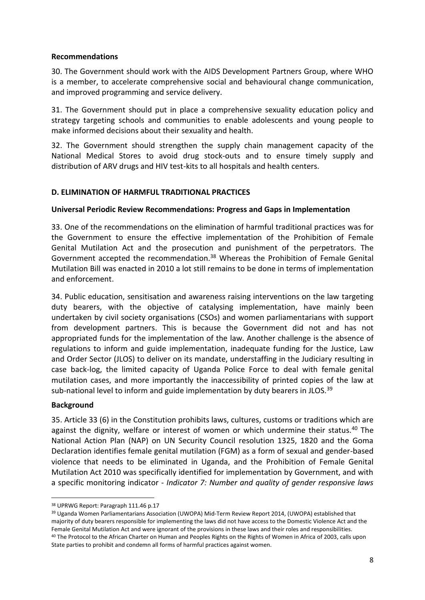## **Recommendations**

30. The Government should work with the AIDS Development Partners Group, where WHO is a member, to accelerate comprehensive social and behavioural change communication, and improved programming and service delivery.

31. The Government should put in place a comprehensive sexuality education policy and strategy targeting schools and communities to enable adolescents and young people to make informed decisions about their sexuality and health.

32. The Government should strengthen the supply chain management capacity of the National Medical Stores to avoid drug stock-outs and to ensure timely supply and distribution of ARV drugs and HIV test-kits to all hospitals and health centers.

## **D. ELIMINATION OF HARMFUL TRADITIONAL PRACTICES**

## **Universal Periodic Review Recommendations: Progress and Gaps in Implementation**

33. One of the recommendations on the elimination of harmful traditional practices was for the Government to ensure the effective implementation of the Prohibition of Female Genital Mutilation Act and the prosecution and punishment of the perpetrators. The Government accepted the recommendation.<sup>38</sup> Whereas the Prohibition of Female Genital Mutilation Bill was enacted in 2010 a lot still remains to be done in terms of implementation and enforcement.

34. Public education, sensitisation and awareness raising interventions on the law targeting duty bearers, with the objective of catalysing implementation, have mainly been undertaken by civil society organisations (CSOs) and women parliamentarians with support from development partners. This is because the Government did not and has not appropriated funds for the implementation of the law. Another challenge is the absence of regulations to inform and guide implementation, inadequate funding for the Justice, Law and Order Sector (JLOS) to deliver on its mandate, understaffing in the Judiciary resulting in case back-log, the limited capacity of Uganda Police Force to deal with female genital mutilation cases, and more importantly the inaccessibility of printed copies of the law at sub-national level to inform and guide implementation by duty bearers in JLOS.<sup>39</sup>

#### **Background**

**.** 

35. Article 33 (6) in the Constitution prohibits laws, cultures, customs or traditions which are against the dignity, welfare or interest of women or which undermine their status.<sup>40</sup> The National Action Plan (NAP) on UN Security Council resolution 1325, 1820 and the Goma Declaration identifies female genital mutilation (FGM) as a form of sexual and gender-based violence that needs to be eliminated in Uganda, and the Prohibition of Female Genital Mutilation Act 2010 was specifically identified for implementation by Government, and with a specific monitoring indicator - *Indicator 7: Number and quality of gender responsive laws* 

<sup>38</sup> UPRWG Report: Paragraph 111.46 p.17

<sup>39</sup> Uganda Women Parliamentarians Association (UWOPA) Mid-Term Review Report 2014, (UWOPA) established that majority of duty bearers responsible for implementing the laws did not have access to the Domestic Violence Act and the Female Genital Mutilation Act and were ignorant of the provisions in these laws and their roles and responsibilities. 40 The Protocol to the African Charter on Human and Peoples Rights on the Rights of Women in Africa of 2003, calls upon State parties to prohibit and condemn all forms of harmful practices against women.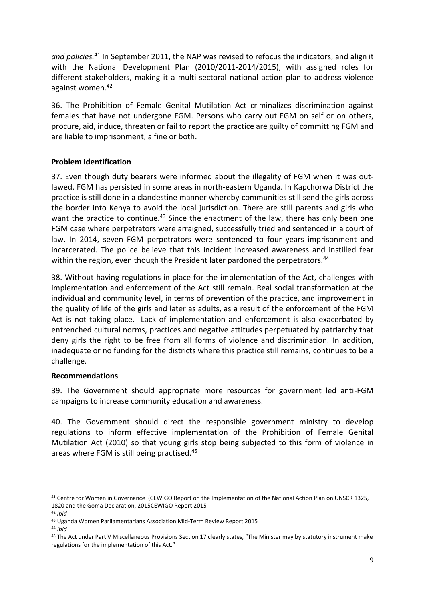*and policies.*<sup>41</sup> In September 2011, the NAP was revised to refocus the indicators, and align it with the National Development Plan (2010/2011-2014/2015), with assigned roles for different stakeholders, making it a multi-sectoral national action plan to address violence against women.<sup>42</sup>

36. The Prohibition of Female Genital Mutilation Act criminalizes discrimination against females that have not undergone FGM. Persons who carry out FGM on self or on others, procure, aid, induce, threaten or fail to report the practice are guilty of committing FGM and are liable to imprisonment, a fine or both.

# **Problem Identification**

37. Even though duty bearers were informed about the illegality of FGM when it was outlawed, FGM has persisted in some areas in north-eastern Uganda. In Kapchorwa District the practice is still done in a clandestine manner whereby communities still send the girls across the border into Kenya to avoid the local jurisdiction. There are still parents and girls who want the practice to continue.<sup>43</sup> Since the enactment of the law, there has only been one FGM case where perpetrators were arraigned, successfully tried and sentenced in a court of law. In 2014, seven FGM perpetrators were sentenced to four years imprisonment and incarcerated. The police believe that this incident increased awareness and instilled fear within the region, even though the President later pardoned the perpetrators.<sup>44</sup>

38. Without having regulations in place for the implementation of the Act, challenges with implementation and enforcement of the Act still remain. Real social transformation at the individual and community level, in terms of prevention of the practice, and improvement in the quality of life of the girls and later as adults, as a result of the enforcement of the FGM Act is not taking place. Lack of implementation and enforcement is also exacerbated by entrenched cultural norms, practices and negative attitudes perpetuated by patriarchy that deny girls the right to be free from all forms of violence and discrimination. In addition, inadequate or no funding for the districts where this practice still remains, continues to be a challenge.

# **Recommendations**

39. The Government should appropriate more resources for government led anti-FGM campaigns to increase community education and awareness.

40. The Government should direct the responsible government ministry to develop regulations to inform effective implementation of the Prohibition of Female Genital Mutilation Act (2010) so that young girls stop being subjected to this form of violence in areas where FGM is still being practised. 45

1

<sup>&</sup>lt;sup>41</sup> Centre for Women in Governance (CEWIGO Report on the Implementation of the National Action Plan on UNSCR 1325, 1820 and the Goma Declaration, 2015CEWIGO Report 2015

<sup>42</sup> *Ibid* 

<sup>43</sup> Uganda Women Parliamentarians Association Mid-Term Review Report 2015

<sup>44</sup> *Ibid*

<sup>45</sup> The Act under Part V Miscellaneous Provisions Section 17 clearly states, "The Minister may by statutory instrument make regulations for the implementation of this Act."